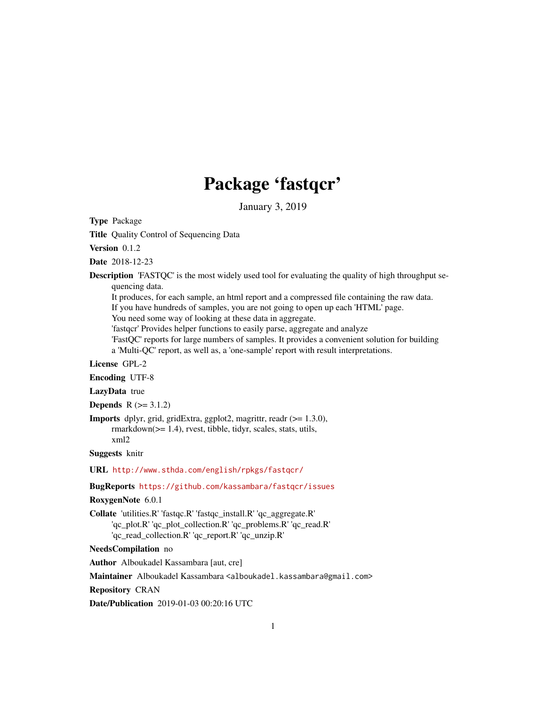# Package 'fastqcr'

January 3, 2019

Type Package

Title Quality Control of Sequencing Data

Version 0.1.2

Date 2018-12-23

Description 'FASTQC' is the most widely used tool for evaluating the quality of high throughput sequencing data.

It produces, for each sample, an html report and a compressed file containing the raw data.

If you have hundreds of samples, you are not going to open up each 'HTML' page.

You need some way of looking at these data in aggregate.

'fastqcr' Provides helper functions to easily parse, aggregate and analyze

'FastQC' reports for large numbers of samples. It provides a convenient solution for building a 'Multi-QC' report, as well as, a 'one-sample' report with result interpretations.

License GPL-2

Encoding UTF-8

LazyData true

**Depends**  $R (= 3.1.2)$ 

Imports dplyr, grid, gridExtra, ggplot2, magrittr, readr (>= 1.3.0), rmarkdown(>= 1.4), rvest, tibble, tidyr, scales, stats, utils, xml2

Suggests knitr

URL <http://www.sthda.com/english/rpkgs/fastqcr/>

BugReports <https://github.com/kassambara/fastqcr/issues>

#### RoxygenNote 6.0.1

Collate 'utilities.R' 'fastqc.R' 'fastqc\_install.R' 'qc\_aggregate.R' 'qc\_plot.R' 'qc\_plot\_collection.R' 'qc\_problems.R' 'qc\_read.R' 'qc\_read\_collection.R' 'qc\_report.R' 'qc\_unzip.R'

NeedsCompilation no

Author Alboukadel Kassambara [aut, cre]

Maintainer Alboukadel Kassambara <alboukadel.kassambara@gmail.com>

Repository CRAN

Date/Publication 2019-01-03 00:20:16 UTC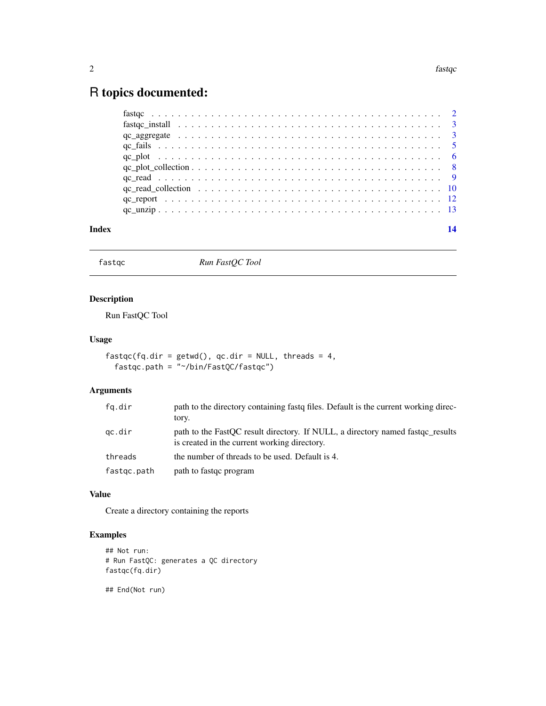# <span id="page-1-0"></span>R topics documented:

| Index |  |
|-------|--|
|       |  |
|       |  |
|       |  |
|       |  |
|       |  |
|       |  |
|       |  |
|       |  |
|       |  |
|       |  |

fastqc *Run FastQC Tool*

# Description

Run FastQC Tool

# Usage

```
fastqc(fq.dir = getwd(), qc.dir = NULL, threads = 4,
 fastqc.path = "~/bin/FastQC/fastqc")
```
# Arguments

| fq.dir      | path to the directory containing fastq files. Default is the current working direc-<br>tory.                                   |
|-------------|--------------------------------------------------------------------------------------------------------------------------------|
| gc.dir      | path to the FastOC result directory. If NULL, a directory named fast g results<br>is created in the current working directory. |
| threads     | the number of threads to be used. Default is 4.                                                                                |
| fastgc.path | path to fast q program                                                                                                         |

#### Value

Create a directory containing the reports

# Examples

```
## Not run:
# Run FastQC: generates a QC directory
fastqc(fq.dir)
```
## End(Not run)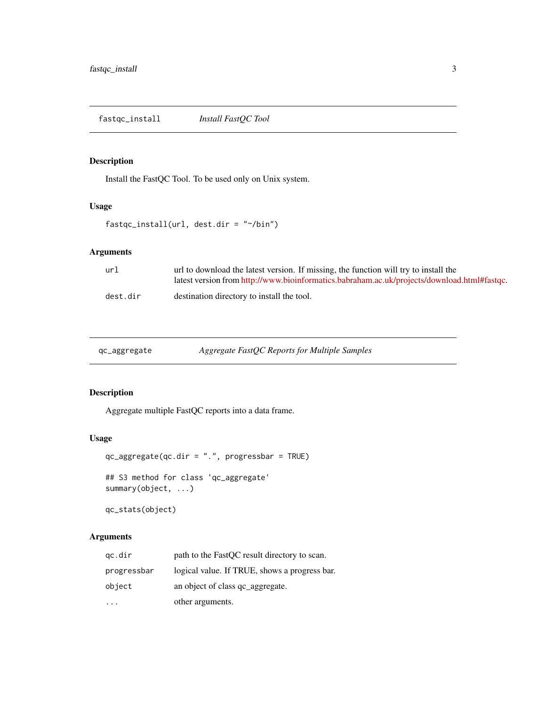<span id="page-2-0"></span>fastqc\_install *Install FastQC Tool*

# Description

Install the FastQC Tool. To be used only on Unix system.

# Usage

```
fastqc_install(url, dest.dir = "~/bin")
```
# Arguments

| url      | url to download the latest version. If missing, the function will try to install the        |
|----------|---------------------------------------------------------------------------------------------|
|          | latest version from http://www.bioinformatics.babraham.ac.uk/projects/download.html#fastqc. |
| dest.dir | destination directory to install the tool.                                                  |

| qc_aggregate |  |
|--------------|--|
|              |  |

qc\_aggregate *Aggregate FastQC Reports for Multiple Samples*

# Description

Aggregate multiple FastQC reports into a data frame.

#### Usage

```
qc_aggregate(qc.dir = ".", progressbar = TRUE)
## S3 method for class 'qc_aggregate'
summary(object, ...)
```
qc\_stats(object)

# Arguments

| gc.dir      | path to the FastQC result directory to scan.  |
|-------------|-----------------------------------------------|
| progressbar | logical value. If TRUE, shows a progress bar. |
| object      | an object of class qc_aggregate.              |
|             | other arguments.                              |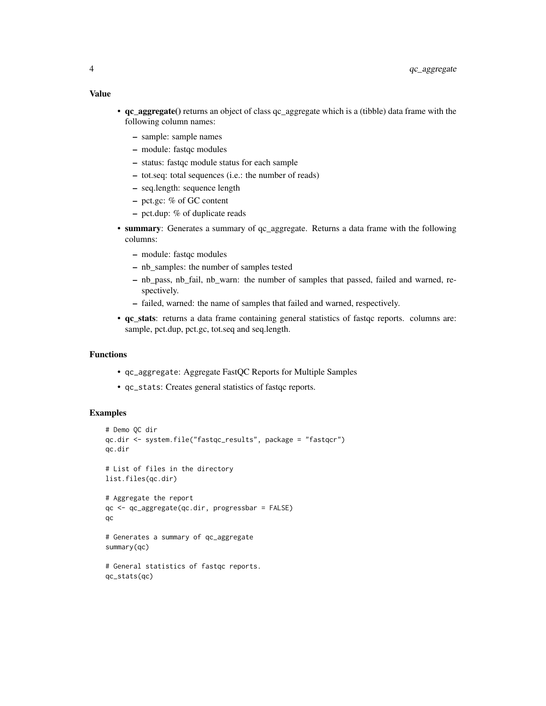- qc\_aggregate() returns an object of class qc\_aggregate which is a (tibble) data frame with the following column names:
	- sample: sample names
	- module: fastqc modules
	- status: fastqc module status for each sample
	- tot.seq: total sequences (i.e.: the number of reads)
	- seq.length: sequence length
	- pct.gc: % of GC content
	- pct.dup: % of duplicate reads
- summary: Generates a summary of qc\_aggregate. Returns a data frame with the following columns:
	- module: fastqc modules
	- nb\_samples: the number of samples tested
	- nb\_pass, nb\_fail, nb\_warn: the number of samples that passed, failed and warned, respectively.
	- failed, warned: the name of samples that failed and warned, respectively.
- qc\_stats: returns a data frame containing general statistics of fastqc reports. columns are: sample, pct.dup, pct.gc, tot.seq and seq.length.

#### Functions

- qc\_aggregate: Aggregate FastQC Reports for Multiple Samples
- qc\_stats: Creates general statistics of fastqc reports.

```
# Demo QC dir
qc.dir <- system.file("fastqc_results", package = "fastqcr")
qc.dir
# List of files in the directory
list.files(qc.dir)
# Aggregate the report
qc <- qc_aggregate(qc.dir, progressbar = FALSE)
qc
# Generates a summary of qc_aggregate
summary(qc)
# General statistics of fastqc reports.
qc_stats(qc)
```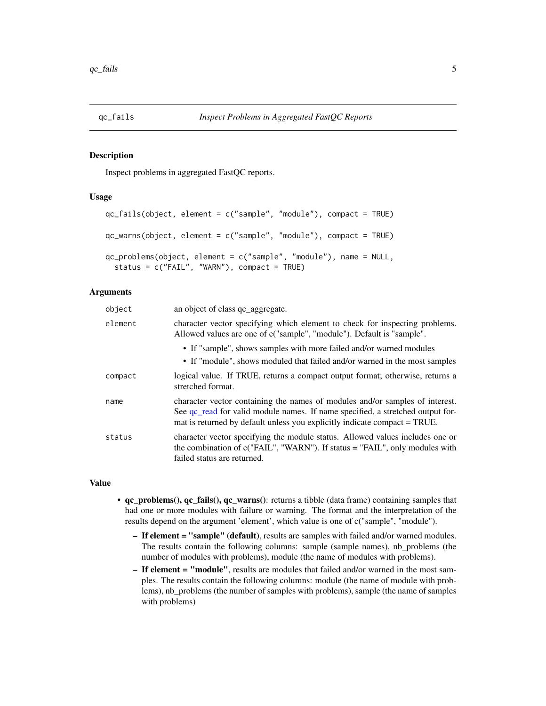<span id="page-4-0"></span>

#### Description

Inspect problems in aggregated FastQC reports.

#### Usage

```
qc_fails(object, element = c("sample", "module"), compact = TRUE)
qc_warns(object, element = c("sample", "module"), compact = TRUE)qc_problems(object, element = c("sample", "module"), name = NULL,
  status = c("FAIL", "WARN"), compact = TRUE)
```
### Arguments

| object  | an object of class qc_aggregate.                                                                                                                                                                                                            |
|---------|---------------------------------------------------------------------------------------------------------------------------------------------------------------------------------------------------------------------------------------------|
| element | character vector specifying which element to check for inspecting problems.<br>Allowed values are one of c("sample", "module"). Default is "sample".                                                                                        |
|         | • If "sample", shows samples with more failed and/or warned modules<br>• If "module", shows moduled that failed and/or warned in the most samples                                                                                           |
| compact | logical value. If TRUE, returns a compact output format; otherwise, returns a<br>stretched format.                                                                                                                                          |
| name    | character vector containing the names of modules and/or samples of interest.<br>See qc_read for valid module names. If name specified, a stretched output for-<br>mat is returned by default unless you explicitly indicate compact = TRUE. |
| status  | character vector specifying the module status. Allowed values includes one or<br>the combination of c("FAIL", "WARN"). If status = "FAIL", only modules with<br>failed status are returned.                                                 |

#### Value

- qc\_problems(), qc\_fails(), qc\_warns(): returns a tibble (data frame) containing samples that had one or more modules with failure or warning. The format and the interpretation of the results depend on the argument 'element', which value is one of c("sample", "module").
	- If element = "sample" (default), results are samples with failed and/or warned modules. The results contain the following columns: sample (sample names), nb\_problems (the number of modules with problems), module (the name of modules with problems).
	- If element = "module", results are modules that failed and/or warned in the most samples. The results contain the following columns: module (the name of module with problems), nb\_problems (the number of samples with problems), sample (the name of samples with problems)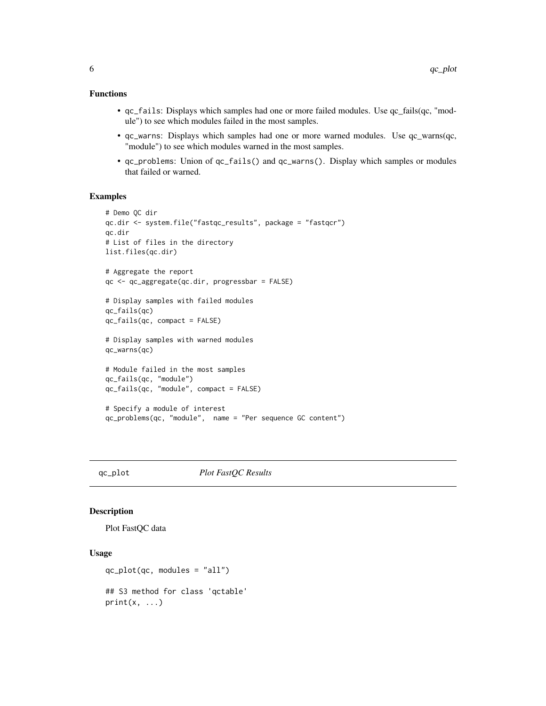#### <span id="page-5-0"></span>Functions

- qc\_fails: Displays which samples had one or more failed modules. Use qc\_fails(qc, "module") to see which modules failed in the most samples.
- qc\_warns: Displays which samples had one or more warned modules. Use qc\_warns(qc, "module") to see which modules warned in the most samples.
- qc\_problems: Union of qc\_fails() and qc\_warns(). Display which samples or modules that failed or warned.

# Examples

```
# Demo QC dir
qc.dir <- system.file("fastqc_results", package = "fastqcr")
qc.dir
# List of files in the directory
list.files(qc.dir)
# Aggregate the report
qc <- qc_aggregate(qc.dir, progressbar = FALSE)
# Display samples with failed modules
qc_fails(qc)
qc_fails(qc, compact = FALSE)
# Display samples with warned modules
qc_warns(qc)
# Module failed in the most samples
qc_fails(qc, "module")
qc_fails(qc, "module", compact = FALSE)
# Specify a module of interest
qc_problems(qc, "module", name = "Per sequence GC content")
```
qc\_plot *Plot FastQC Results*

#### Description

Plot FastQC data

# Usage

qc\_plot(qc, modules = "all")

## S3 method for class 'qctable'  $print(x, \ldots)$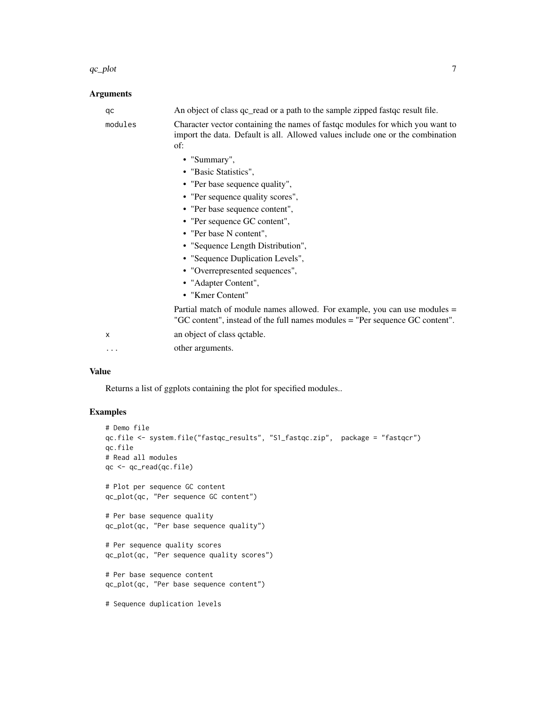#### $q$ c\_plot  $\qquad \qquad$  7

# Arguments

| qc      | An object of class qc_read or a path to the sample zipped fast qc result file.                                                                                         |
|---------|------------------------------------------------------------------------------------------------------------------------------------------------------------------------|
| modules | Character vector containing the names of fast q modules for which you want to<br>import the data. Default is all. Allowed values include one or the combination<br>of: |
|         | • "Summary",                                                                                                                                                           |
|         | • "Basic Statistics",                                                                                                                                                  |
|         | • "Per base sequence quality",                                                                                                                                         |
|         | • "Per sequence quality scores",                                                                                                                                       |
|         | • "Per base sequence content",                                                                                                                                         |
|         | • "Per sequence GC content",                                                                                                                                           |
|         | • "Per base N content",                                                                                                                                                |
|         | • "Sequence Length Distribution",                                                                                                                                      |
|         | • "Sequence Duplication Levels",                                                                                                                                       |
|         | • "Overrepresented sequences",                                                                                                                                         |
|         | • "Adapter Content",                                                                                                                                                   |
|         | • "Kmer Content"                                                                                                                                                       |
|         | Partial match of module names allowed. For example, you can use modules =<br>"GC content", instead of the full names modules = "Per sequence GC content".              |
| X       | an object of class qctable.                                                                                                                                            |
| .       | other arguments.                                                                                                                                                       |

# Value

Returns a list of ggplots containing the plot for specified modules..

```
# Demo file
qc.file <- system.file("fastqc_results", "S1_fastqc.zip", package = "fastqcr")
qc.file
# Read all modules
qc <- qc_read(qc.file)
# Plot per sequence GC content
qc_plot(qc, "Per sequence GC content")
# Per base sequence quality
qc_plot(qc, "Per base sequence quality")
# Per sequence quality scores
qc_plot(qc, "Per sequence quality scores")
# Per base sequence content
qc_plot(qc, "Per base sequence content")
# Sequence duplication levels
```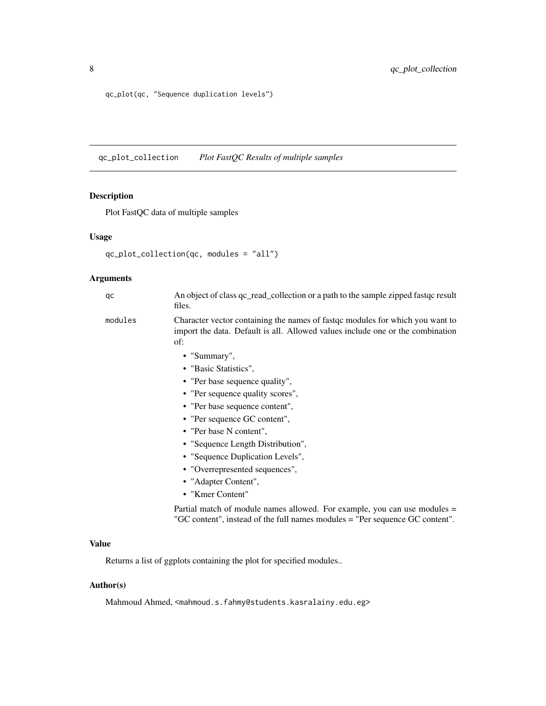<span id="page-7-0"></span>qc\_plot(qc, "Sequence duplication levels")

qc\_plot\_collection *Plot FastQC Results of multiple samples*

# Description

Plot FastQC data of multiple samples

#### Usage

```
qc_plot_collection(qc, modules = "all")
```
# Arguments

| qc      | An object of class qc_read_collection or a path to the sample zipped fastqc result<br>files.                                                                           |
|---------|------------------------------------------------------------------------------------------------------------------------------------------------------------------------|
| modules | Character vector containing the names of fastqc modules for which you want to<br>import the data. Default is all. Allowed values include one or the combination<br>of: |
|         | • "Summary",                                                                                                                                                           |
|         | • "Basic Statistics",                                                                                                                                                  |
|         | • "Per base sequence quality",                                                                                                                                         |
|         | • "Per sequence quality scores",                                                                                                                                       |
|         | • "Per base sequence content",                                                                                                                                         |
|         | • "Per sequence GC content",                                                                                                                                           |
|         | • "Per base N content".                                                                                                                                                |
|         | • "Sequence Length Distribution",                                                                                                                                      |
|         | • "Sequence Duplication Levels",                                                                                                                                       |
|         | • "Overrepresented sequences",                                                                                                                                         |

- "Adapter Content",
- "Kmer Content"

Partial match of module names allowed. For example, you can use modules = "GC content", instead of the full names modules = "Per sequence GC content".

# Value

Returns a list of ggplots containing the plot for specified modules..

#### Author(s)

Mahmoud Ahmed, <mahmoud.s.fahmy@students.kasralainy.edu.eg>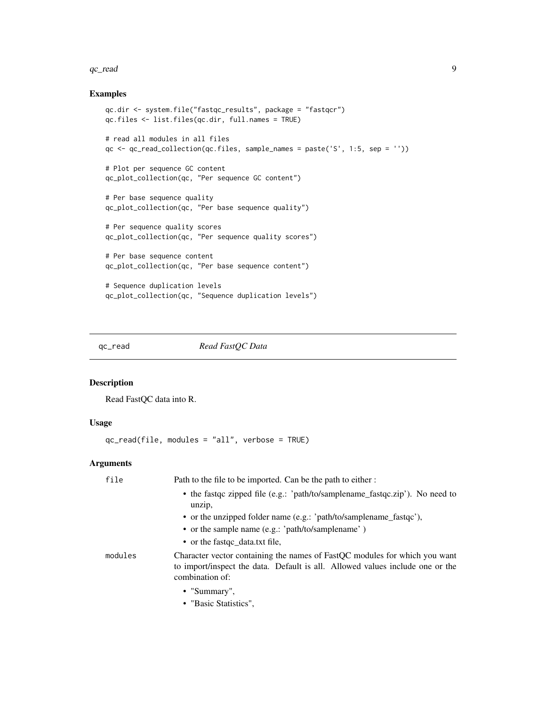#### <span id="page-8-0"></span> $q$ c\_read  $\qquad$

#### Examples

```
qc.dir <- system.file("fastqc_results", package = "fastqcr")
qc.files <- list.files(qc.dir, full.names = TRUE)
# read all modules in all files
qc <- qc_read_collection(qc.files, sample_names = paste('S', 1:5, sep = ''))
# Plot per sequence GC content
qc_plot_collection(qc, "Per sequence GC content")
# Per base sequence quality
qc_plot_collection(qc, "Per base sequence quality")
# Per sequence quality scores
qc_plot_collection(qc, "Per sequence quality scores")
# Per base sequence content
qc_plot_collection(qc, "Per base sequence content")
# Sequence duplication levels
qc_plot_collection(qc, "Sequence duplication levels")
```
<span id="page-8-1"></span>qc\_read *Read FastQC Data*

#### Description

Read FastQC data into R.

# Usage

qc\_read(file, modules = "all", verbose = TRUE)

#### Arguments

| file    | Path to the file to be imported. Can be the path to either :                                                                                                                   |
|---------|--------------------------------------------------------------------------------------------------------------------------------------------------------------------------------|
|         | • the fast q zipped file (e.g.: 'path/to/samplename_fast q c.zip'). No need to<br>unzip,                                                                                       |
|         | • or the unzipped folder name (e.g.: 'path/to/samplename_fastqc'),                                                                                                             |
|         | • or the sample name (e.g.: 'path/to/samplename')                                                                                                                              |
|         | • or the fast qc_data.txt file,                                                                                                                                                |
| modules | Character vector containing the names of FastQC modules for which you want<br>to import/inspect the data. Default is all. Allowed values include one or the<br>combination of: |
|         | • "Summary",                                                                                                                                                                   |
|         | • "Basic Statistics",                                                                                                                                                          |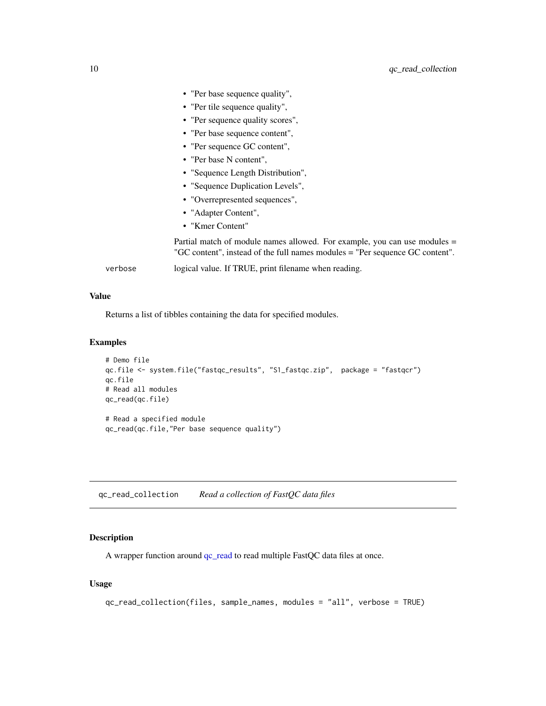<span id="page-9-0"></span>

|         | • "Per base sequence quality",                                                                                                                            |
|---------|-----------------------------------------------------------------------------------------------------------------------------------------------------------|
|         | • "Per tile sequence quality",                                                                                                                            |
|         | • "Per sequence quality scores",                                                                                                                          |
|         | • "Per base sequence content",                                                                                                                            |
|         | • "Per sequence GC content",                                                                                                                              |
|         | • "Per base N content",                                                                                                                                   |
|         | • "Sequence Length Distribution",                                                                                                                         |
|         | • "Sequence Duplication Levels",                                                                                                                          |
|         | • "Overrepresented sequences",                                                                                                                            |
|         | • "Adapter Content",                                                                                                                                      |
|         | • "Kmer Content"                                                                                                                                          |
|         | Partial match of module names allowed. For example, you can use modules =<br>"GC content", instead of the full names modules = "Per sequence GC content". |
| verbose | logical value. If TRUE, print filename when reading.                                                                                                      |

### Value

Returns a list of tibbles containing the data for specified modules.

# Examples

```
# Demo file
qc.file <- system.file("fastqc_results", "S1_fastqc.zip", package = "fastqcr")
qc.file
# Read all modules
qc_read(qc.file)
# Read a specified module
qc_read(qc.file,"Per base sequence quality")
```
qc\_read\_collection *Read a collection of FastQC data files*

# Description

A wrapper function around  $qc$ <sub>read</sub> to read multiple FastQC data files at once.

### Usage

```
qc_read_collection(files, sample_names, modules = "all", verbose = TRUE)
```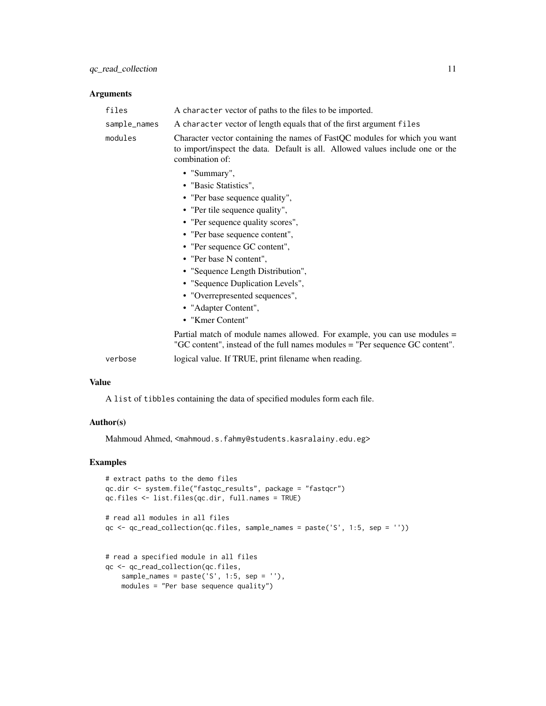#### Arguments

| files        | A character vector of paths to the files to be imported.                                                                                                                       |
|--------------|--------------------------------------------------------------------------------------------------------------------------------------------------------------------------------|
| sample_names | A character vector of length equals that of the first argument files                                                                                                           |
| modules      | Character vector containing the names of FastQC modules for which you want<br>to import/inspect the data. Default is all. Allowed values include one or the<br>combination of: |
|              | • "Summary",                                                                                                                                                                   |
|              | • "Basic Statistics",                                                                                                                                                          |
|              | • "Per base sequence quality",                                                                                                                                                 |
|              | • "Per tile sequence quality",                                                                                                                                                 |
|              | • "Per sequence quality scores",                                                                                                                                               |
|              | • "Per base sequence content",                                                                                                                                                 |
|              | • "Per sequence GC content",                                                                                                                                                   |
|              | • "Per base N content",                                                                                                                                                        |
|              | • "Sequence Length Distribution",                                                                                                                                              |
|              | • "Sequence Duplication Levels",                                                                                                                                               |
|              | • "Overrepresented sequences",                                                                                                                                                 |
|              | • "Adapter Content",                                                                                                                                                           |
|              | • "Kmer Content"                                                                                                                                                               |
|              | Partial match of module names allowed. For example, you can use modules =<br>"GC content", instead of the full names modules = "Per sequence GC content".                      |
| verbose      | logical value. If TRUE, print filename when reading.                                                                                                                           |

#### Value

A list of tibbles containing the data of specified modules form each file.

# Author(s)

Mahmoud Ahmed, <mahmoud.s.fahmy@students.kasralainy.edu.eg>

```
# extract paths to the demo files
qc.dir <- system.file("fastqc_results", package = "fastqcr")
qc.files <- list.files(qc.dir, full.names = TRUE)
# read all modules in all files
qc <- qc_read_collection(qc.files, sample_names = paste('S', 1:5, sep = ''))
# read a specified module in all files
qc <- qc_read_collection(qc.files,
   sample_names = paste('S', 1:5, sep = ''),
   modules = "Per base sequence quality")
```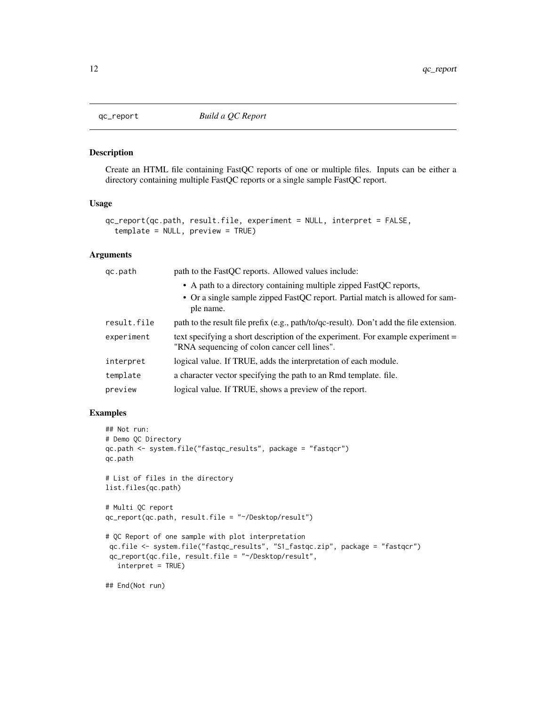<span id="page-11-0"></span>

#### Description

Create an HTML file containing FastQC reports of one or multiple files. Inputs can be either a directory containing multiple FastQC reports or a single sample FastQC report.

#### Usage

```
qc_report(qc.path, result.file, experiment = NULL, interpret = FALSE,
  template = NULL, preview = TRUE)
```
# Arguments

| gc.path     | path to the FastQC reports. Allowed values include:                                                                             |
|-------------|---------------------------------------------------------------------------------------------------------------------------------|
|             | • A path to a directory containing multiple zipped FastQC reports,                                                              |
|             | • Or a single sample zipped FastQC report. Partial match is allowed for sam-<br>ple name.                                       |
| result.file | path to the result file prefix (e.g., path/to/qc-result). Don't add the file extension.                                         |
| experiment  | text specifying a short description of the experiment. For example experiment =<br>"RNA sequencing of colon cancer cell lines". |
| interpret   | logical value. If TRUE, adds the interpretation of each module.                                                                 |
| template    | a character vector specifying the path to an Rmd template. file.                                                                |
| preview     | logical value. If TRUE, shows a preview of the report.                                                                          |

```
## Not run:
# Demo QC Directory
qc.path <- system.file("fastqc_results", package = "fastqcr")
qc.path
# List of files in the directory
list.files(qc.path)
# Multi QC report
qc_report(qc.path, result.file = "~/Desktop/result")
# QC Report of one sample with plot interpretation
 qc.file <- system.file("fastqc_results", "S1_fastqc.zip", package = "fastqcr")
 qc_report(qc.file, result.file = "~/Desktop/result",
  interpret = TRUE)
## End(Not run)
```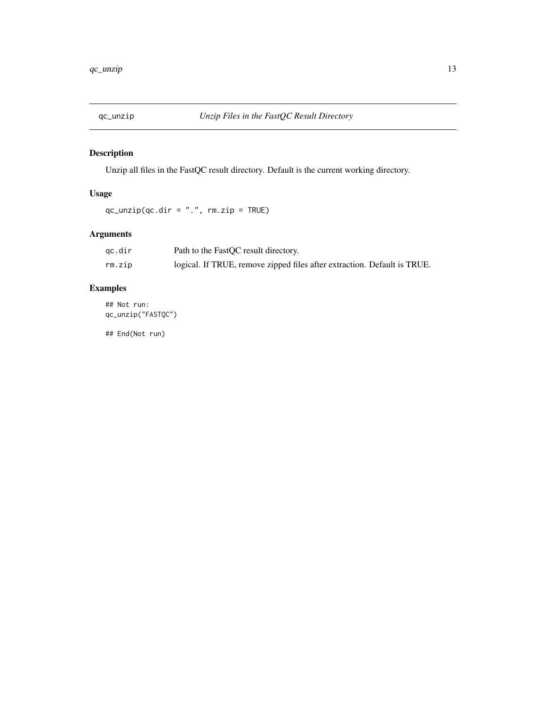<span id="page-12-0"></span>

# Description

Unzip all files in the FastQC result directory. Default is the current working directory.

# Usage

 $qc\_unzip(qc.dir = "."$ ,  $rm.zip = TRUE)$ 

# Arguments

| qc.dir | Path to the FastQC result directory.                                     |
|--------|--------------------------------------------------------------------------|
| rm.zip | logical. If TRUE, remove zipped files after extraction. Default is TRUE. |

# Examples

## Not run: qc\_unzip("FASTQC")

## End(Not run)